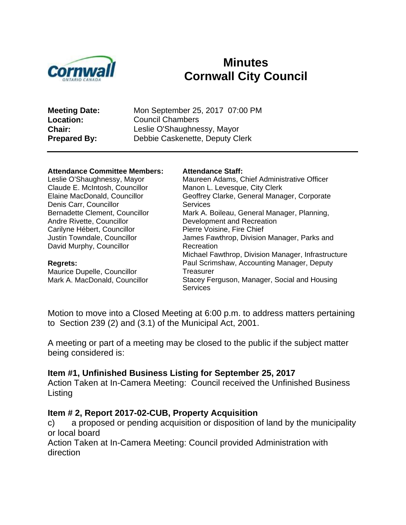

# **Minutes Cornwall City Council**

| <b>Meeting Date:</b> | Mon September 25, 2017 07:00 PM |
|----------------------|---------------------------------|
| <b>Location:</b>     | <b>Council Chambers</b>         |
| Chair:               | Leslie O'Shaughnessy, Mayor     |
| <b>Prepared By:</b>  | Debbie Caskenette, Deputy Clerk |
|                      |                                 |

#### **Attendance Committee Members: Attendance Staff:**

Leslie O'Shaughnessy, Mayor Claude E. McIntosh, Councillor Elaine MacDonald, Councillor Denis Carr, Councillor Bernadette Clement, Councillor Andre Rivette, Councillor Carilyne Hébert, Councillor Justin Towndale, Councillor David Murphy, Councillor

#### **Regrets:**

Maurice Dupelle, Councillor Mark A. MacDonald, Councillor Maureen Adams, Chief Administrative Officer

Manon L. Levesque, City Clerk Geoffrey Clarke, General Manager, Corporate **Services** Mark A. Boileau, General Manager, Planning, Development and Recreation Pierre Voisine, Fire Chief James Fawthrop, Division Manager, Parks and Recreation Michael Fawthrop, Division Manager, Infrastructure Paul Scrimshaw, Accounting Manager, Deputy **Treasurer** Stacey Ferguson, Manager, Social and Housing **Services** 

Motion to move into a Closed Meeting at 6:00 p.m. to address matters pertaining to Section 239 (2) and (3.1) of the Municipal Act, 2001.

A meeting or part of a meeting may be closed to the public if the subject matter being considered is:

#### **Item #1, Unfinished Business Listing for September 25, 2017**

Action Taken at In-Camera Meeting: Council received the Unfinished Business Listing

#### **Item # 2, Report 2017-02-CUB, Property Acquisition**

c) a proposed or pending acquisition or disposition of land by the municipality or local board

Action Taken at In-Camera Meeting: Council provided Administration with direction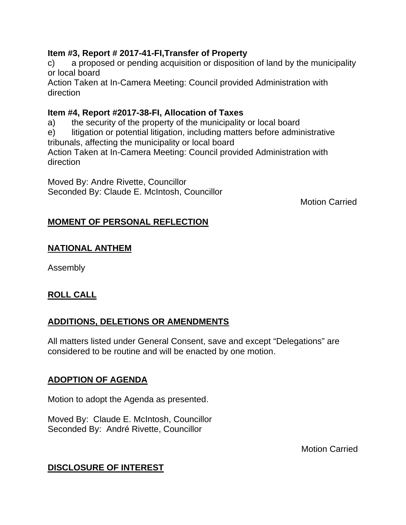#### **Item #3, Report # 2017-41-FI,Transfer of Property**

c) a proposed or pending acquisition or disposition of land by the municipality or local board

Action Taken at In-Camera Meeting: Council provided Administration with direction

#### **Item #4, Report #2017-38-FI, Allocation of Taxes**

a) the security of the property of the municipality or local board

e) litigation or potential litigation, including matters before administrative tribunals, affecting the municipality or local board

Action Taken at In-Camera Meeting: Council provided Administration with direction

Moved By: Andre Rivette, Councillor Seconded By: Claude E. McIntosh, Councillor

Motion Carried

# **MOMENT OF PERSONAL REFLECTION**

#### **NATIONAL ANTHEM**

Assembly

# **ROLL CALL**

#### **ADDITIONS, DELETIONS OR AMENDMENTS**

All matters listed under General Consent, save and except "Delegations" are considered to be routine and will be enacted by one motion.

#### **ADOPTION OF AGENDA**

Motion to adopt the Agenda as presented.

Moved By: Claude E. McIntosh, Councillor Seconded By: André Rivette, Councillor

Motion Carried

# **DISCLOSURE OF INTEREST**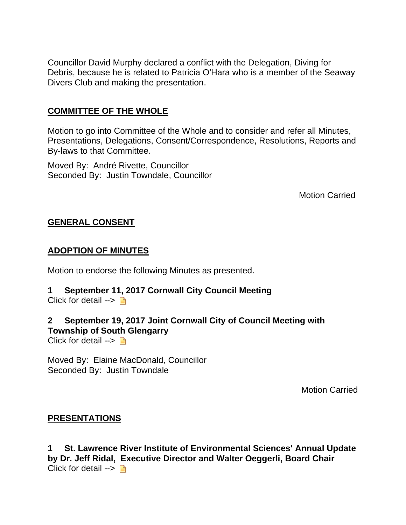Councillor David Murphy declared a conflict with the Delegation, Diving for Debris, because he is related to Patricia O'Hara who is a member of the Seaway Divers Club and making the presentation.

#### **COMMITTEE OF THE WHOLE**

Motion to go into Committee of the Whole and to consider and refer all Minutes, Presentations, Delegations, Consent/Correspondence, Resolutions, Reports and By-laws to that Committee.

Moved By: André Rivette, Councillor Seconded By: Justin Towndale, Councillor

Motion Carried

#### **GENERAL CONSENT**

#### **ADOPTION OF MINUTES**

Motion to endorse the following Minutes as presented.

#### **1 September 11, 2017 Cornwall City Council Meeting**

Click for detail  $\rightarrow \Box$ 

#### **2 September 19, 2017 Joint Cornwall City of Council Meeting with Township of South Glengarry**

Click for detail  $\rightarrow \Box$ 

Moved By: Elaine MacDonald, Councillor Seconded By: Justin Towndale

Motion Carried

#### **PRESENTATIONS**

**1 St. Lawrence River Institute of Environmental Sciences' Annual Update by Dr. Jeff Ridal, Executive Director and Walter Oeggerli, Board Chair** Click for detail  $\rightarrow$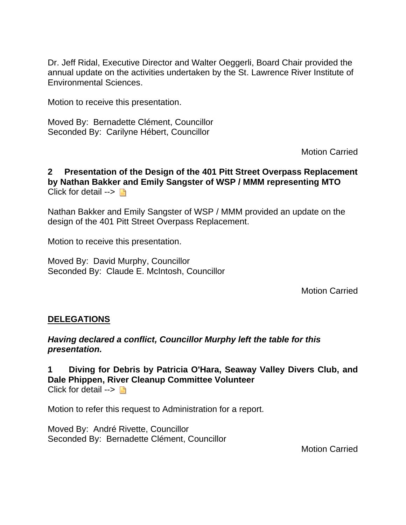Dr. Jeff Ridal, Executive Director and Walter Oeggerli, Board Chair provided the annual update on the activities undertaken by the St. Lawrence River Institute of Environmental Sciences.

Motion to receive this presentation.

Moved By: Bernadette Clément, Councillor Seconded By: Carilyne Hébert, Councillor

Motion Carried

**2 Presentation of the Design of the 401 Pitt Street Overpass Replacement by Nathan Bakker and Emily Sangster of WSP / MMM representing MTO** Click for detail  $\rightarrow \Box$ 

Nathan Bakker and Emily Sangster of WSP / MMM provided an update on the design of the 401 Pitt Street Overpass Replacement.

Motion to receive this presentation.

Moved By: David Murphy, Councillor Seconded By: Claude E. McIntosh, Councillor

Motion Carried

#### **DELEGATIONS**

*Having declared a conflict, Councillor Murphy left the table for this presentation.*

**1 Diving for Debris by Patricia O'Hara, Seaway Valley Divers Club, and Dale Phippen, River Cleanup Committee Volunteer** Click for detail  $\rightarrow \Box$ 

Motion to refer this request to Administration for a report.

Moved By: André Rivette, Councillor Seconded By: Bernadette Clément, Councillor

Motion Carried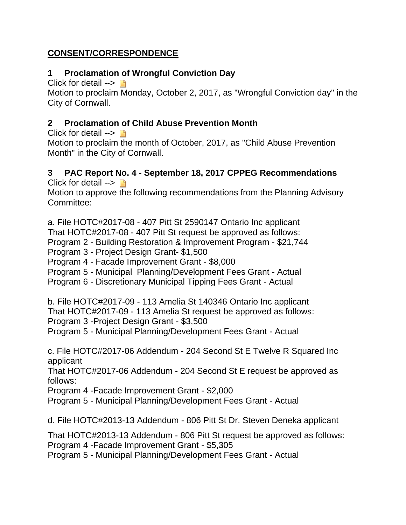# **CONSENT/CORRESPONDENCE**

## **1 Proclamation of Wrongful Conviction Day**

Click for detail  $\rightarrow \Box$ 

Motion to proclaim Monday, October 2, 2017, as "Wrongful Conviction day" in the City of Cornwall.

## **2 Proclamation of Child Abuse Prevention Month**

Click for detail  $\rightarrow \Box$ 

Motion to proclaim the month of October, 2017, as "Child Abuse Prevention Month" in the City of Cornwall.

#### **3 PAC Report No. 4 - September 18, 2017 CPPEG Recommendations** Click for detail  $\rightarrow \Box$

Motion to approve the following recommendations from the Planning Advisory Committee:

a. File HOTC#2017-08 - 407 Pitt St 2590147 Ontario Inc applicant That HOTC#2017-08 - 407 Pitt St request be approved as follows:

Program 2 - Building Restoration & Improvement Program - \$21,744

Program 3 - Project Design Grant- \$1,500

Program 4 - Facade Improvement Grant - \$8,000

Program 5 - Municipal Planning/Development Fees Grant - Actual

Program 6 - Discretionary Municipal Tipping Fees Grant - Actual

b. File HOTC#2017-09 - 113 Amelia St 140346 Ontario Inc applicant

That HOTC#2017-09 - 113 Amelia St request be approved as follows:

Program 3 -Project Design Grant - \$3,500

Program 5 - Municipal Planning/Development Fees Grant - Actual

c. File HOTC#2017-06 Addendum - 204 Second St E Twelve R Squared Inc applicant

That HOTC#2017-06 Addendum - 204 Second St E request be approved as follows:

Program 4 -Facade Improvement Grant - \$2,000

Program 5 - Municipal Planning/Development Fees Grant - Actual

d. File HOTC#2013-13 Addendum - 806 Pitt St Dr. Steven Deneka applicant

That HOTC#2013-13 Addendum - 806 Pitt St request be approved as follows: Program 4 -Facade Improvement Grant - \$5,305

Program 5 - Municipal Planning/Development Fees Grant - Actual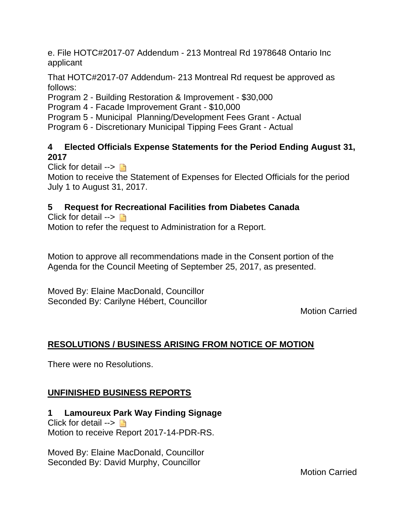e. File HOTC#2017-07 Addendum - 213 Montreal Rd 1978648 Ontario Inc applicant

That HOTC#2017-07 Addendum- 213 Montreal Rd request be approved as follows:

Program 2 - Building Restoration & Improvement - \$30,000

Program 4 - Facade Improvement Grant - \$10,000

Program 5 - Municipal Planning/Development Fees Grant - Actual

Program 6 - Discretionary Municipal Tipping Fees Grant - Actual

#### **4 Elected Officials Expense Statements for the Period Ending August 31, 2017**

Click for detail  $\rightarrow \Box$ 

Motion to receive the Statement of Expenses for Elected Officials for the period July 1 to August 31, 2017.

# **5 Request for Recreational Facilities from Diabetes Canada**

Click for detail  $\rightarrow \Box$ 

Motion to refer the request to Administration for a Report.

Motion to approve all recommendations made in the Consent portion of the Agenda for the Council Meeting of September 25, 2017, as presented.

Moved By: Elaine MacDonald, Councillor Seconded By: Carilyne Hébert, Councillor

Motion Carried

# **RESOLUTIONS / BUSINESS ARISING FROM NOTICE OF MOTION**

There were no Resolutions.

# **UNFINISHED BUSINESS REPORTS**

**1 Lamoureux Park Way Finding Signage** Click for detail  $\rightarrow \Box$ Motion to receive Report 2017-14-PDR-RS.

Moved By: Elaine MacDonald, Councillor Seconded By: David Murphy, Councillor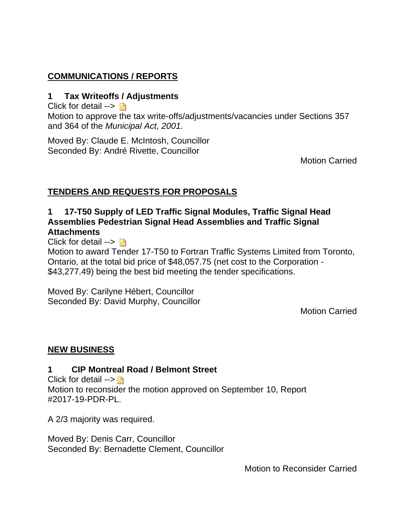# **COMMUNICATIONS / REPORTS**

#### **1 Tax Writeoffs / Adjustments**

Click for detail  $\rightarrow \Box$ 

Motion to approve the tax write-offs/adjustments/vacancies under Sections 357 and 364 of the *Municipal Act, 2001.*

Moved By: Claude E. McIntosh, Councillor Seconded By: André Rivette, Councillor

Motion Carried

#### **TENDERS AND REQUESTS FOR PROPOSALS**

#### **1 17-T50 Supply of LED Traffic Signal Modules, Traffic Signal Head Assemblies Pedestrian Signal Head Assemblies and Traffic Signal Attachments**

Click for detail  $\rightarrow \Box$ 

Motion to award Tender 17-T50 to Fortran Traffic Systems Limited from Toronto, Ontario, at the total bid price of \$48,057.75 (net cost to the Corporation - \$43,277.49) being the best bid meeting the tender specifications.

Moved By: Carilyne Hébert, Councillor Seconded By: David Murphy, Councillor

Motion Carried

#### **NEW BUSINESS**

#### **1 CIP Montreal Road / Belmont Street**

Click for detail  $\rightarrow \blacksquare$ Motion to reconsider the motion approved on September 10, Report #2017-19-PDR-PL.

A 2/3 majority was required.

Moved By: Denis Carr, Councillor Seconded By: Bernadette Clement, Councillor

Motion to Reconsider Carried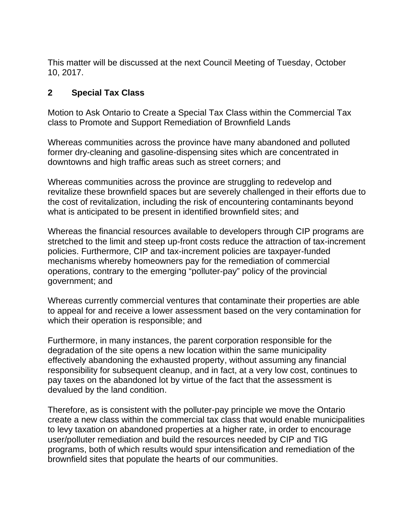This matter will be discussed at the next Council Meeting of Tuesday, October 10, 2017.

## **2 Special Tax Class**

Motion to Ask Ontario to Create a Special Tax Class within the Commercial Tax class to Promote and Support Remediation of Brownfield Lands

Whereas communities across the province have many abandoned and polluted former dry-cleaning and gasoline-dispensing sites which are concentrated in downtowns and high traffic areas such as street corners; and

Whereas communities across the province are struggling to redevelop and revitalize these brownfield spaces but are severely challenged in their efforts due to the cost of revitalization, including the risk of encountering contaminants beyond what is anticipated to be present in identified brownfield sites; and

Whereas the financial resources available to developers through CIP programs are stretched to the limit and steep up-front costs reduce the attraction of tax-increment policies. Furthermore, CIP and tax-increment policies are taxpayer-funded mechanisms whereby homeowners pay for the remediation of commercial operations, contrary to the emerging "polluter-pay" policy of the provincial government; and

Whereas currently commercial ventures that contaminate their properties are able to appeal for and receive a lower assessment based on the very contamination for which their operation is responsible; and

Furthermore, in many instances, the parent corporation responsible for the degradation of the site opens a new location within the same municipality effectively abandoning the exhausted property, without assuming any financial responsibility for subsequent cleanup, and in fact, at a very low cost, continues to pay taxes on the abandoned lot by virtue of the fact that the assessment is devalued by the land condition.

Therefore, as is consistent with the polluter-pay principle we move the Ontario create a new class within the commercial tax class that would enable municipalities to levy taxation on abandoned properties at a higher rate, in order to encourage user/polluter remediation and build the resources needed by CIP and TIG programs, both of which results would spur intensification and remediation of the brownfield sites that populate the hearts of our communities.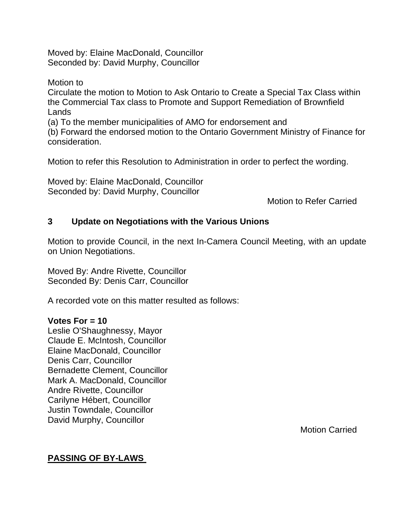Moved by: Elaine MacDonald, Councillor Seconded by: David Murphy, Councillor

Motion to Circulate the motion to Motion to Ask Ontario to Create a Special Tax Class within the Commercial Tax class to Promote and Support Remediation of Brownfield Lands

(a) To the member municipalities of AMO for endorsement and

(b) Forward the endorsed motion to the Ontario Government Ministry of Finance for consideration.

Motion to refer this Resolution to Administration in order to perfect the wording.

Moved by: Elaine MacDonald, Councillor Seconded by: David Murphy, Councillor

Motion to Refer Carried

#### **3 Update on Negotiations with the Various Unions**

Motion to provide Council, in the next In-Camera Council Meeting, with an update on Union Negotiations.

Moved By: Andre Rivette, Councillor Seconded By: Denis Carr, Councillor

A recorded vote on this matter resulted as follows:

#### **Votes For = 10**

Leslie O'Shaughnessy, Mayor Claude E. McIntosh, Councillor Elaine MacDonald, Councillor Denis Carr, Councillor Bernadette Clement, Councillor Mark A. MacDonald, Councillor Andre Rivette, Councillor Carilyne Hébert, Councillor Justin Towndale, Councillor David Murphy, Councillor

Motion Carried

#### **PASSING OF BY-LAWS**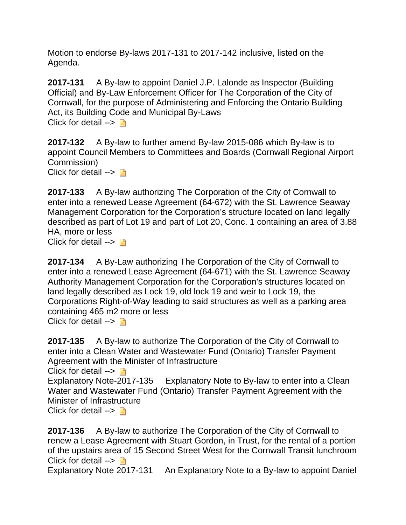Motion to endorse By-laws 2017-131 to 2017-142 inclusive, listed on the Agenda.

**2017-131** A By-law to appoint Daniel J.P. Lalonde as Inspector (Building Official) and By-Law Enforcement Officer for The Corporation of the City of Cornwall, for the purpose of Administering and Enforcing the Ontario Building Act, its Building Code and Municipal By-Laws Click for detail  $\rightarrow \Box$ 

**2017-132** A By-law to further amend By-law 2015-086 which By-law is to appoint Council Members to Committees and Boards (Cornwall Regional Airport Commission)

Click for detail  $\rightarrow \Box$ 

**2017-133** A By-law authorizing The Corporation of the City of Cornwall to enter into a renewed Lease Agreement (64-672) with the St. Lawrence Seaway Management Corporation for the Corporation's structure located on land legally described as part of Lot 19 and part of Lot 20, Conc. 1 containing an area of 3.88 HA, more or less

Click for detail  $\rightarrow \Box$ 

**2017-134** A By-Law authorizing The Corporation of the City of Cornwall to enter into a renewed Lease Agreement (64-671) with the St. Lawrence Seaway Authority Management Corporation for the Corporation's structures located on land legally described as Lock 19, old lock 19 and weir to Lock 19, the Corporations Right-of-Way leading to said structures as well as a parking area containing 465 m2 more or less Click for detail  $\rightarrow \Box$ 

**2017-135** A By-law to authorize The Corporation of the City of Cornwall to enter into a Clean Water and Wastewater Fund (Ontario) Transfer Payment Agreement with the Minister of Infrastructure

Click for detail  $\rightarrow \Box$ 

Explanatory Note-2017-135 Explanatory Note to By-law to enter into a Clean Water and Wastewater Fund (Ontario) Transfer Payment Agreement with the Minister of Infrastructure

Click for detail  $\rightarrow \Box$ 

**2017-136** A By-law to authorize The Corporation of the City of Cornwall to renew a Lease Agreement with Stuart Gordon, in Trust, for the rental of a portion of the upstairs area of 15 Second Street West for the Cornwall Transit lunchroom Click for detail  $\rightarrow \Box$ 

Explanatory Note 2017-131 An Explanatory Note to a By-law to appoint Daniel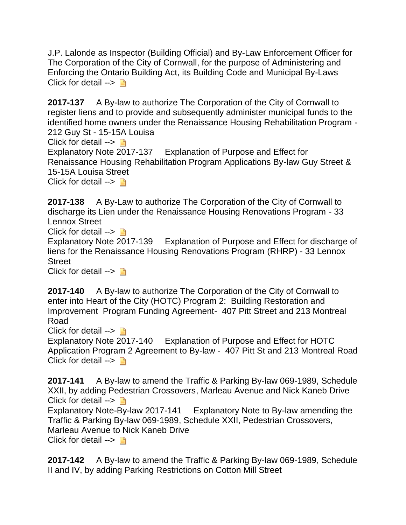J.P. Lalonde as Inspector (Building Official) and By-Law Enforcement Officer for The Corporation of the City of Cornwall, for the purpose of Administering and Enforcing the Ontario Building Act, its Building Code and Municipal By-Laws Click for detail  $\rightarrow$ 

**2017-137** A By-law to authorize The Corporation of the City of Cornwall to register liens and to provide and subsequently administer municipal funds to the identified home owners under the Renaissance Housing Rehabilitation Program - 212 Guy St - 15-15A Louisa

Click for detail  $\rightarrow \Box$ 

Explanatory Note 2017-137 Explanation of Purpose and Effect for Renaissance Housing Rehabilitation Program Applications By-law Guy Street & 15-15A Louisa Street

Click for detail  $\rightarrow$ 

**2017-138** A By-Law to authorize The Corporation of the City of Cornwall to discharge its Lien under the Renaissance Housing Renovations Program - 33 Lennox Street

Click for detail  $\rightarrow \Box$ 

Explanatory Note 2017-139 Explanation of Purpose and Effect for discharge of liens for the Renaissance Housing Renovations Program (RHRP) - 33 Lennox Street

Click for detail  $\rightarrow \Box$ 

**2017-140** A By-law to authorize The Corporation of the City of Cornwall to enter into Heart of the City (HOTC) Program 2: Building Restoration and Improvement Program Funding Agreement- 407 Pitt Street and 213 Montreal Road

Click for detail  $\rightarrow$ 

Explanatory Note 2017-140 Explanation of Purpose and Effect for HOTC Application Program 2 Agreement to By-law - 407 Pitt St and 213 Montreal Road Click for detail  $\rightarrow \Box$ 

**2017-141** A By-law to amend the Traffic & Parking By-law 069-1989, Schedule XXII, by adding Pedestrian Crossovers, Marleau Avenue and Nick Kaneb Drive Click for detail  $\rightarrow \Box$ Explanatory Note-By-law 2017-141 Explanatory Note to By-law amending the Traffic & Parking By-law 069-1989, Schedule XXII, Pedestrian Crossovers, Marleau Avenue to Nick Kaneb Drive Click for detail  $\rightarrow \Box$ 

**2017-142** A By-law to amend the Traffic & Parking By-law 069-1989, Schedule II and IV, by adding Parking Restrictions on Cotton Mill Street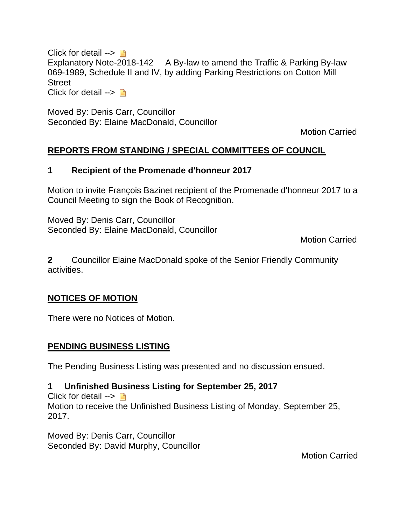Click for detail  $\rightarrow \Box$ Explanatory Note-2018-142 A By-law to amend the Traffic & Parking By-law 069-1989, Schedule II and IV, by adding Parking Restrictions on Cotton Mill Street Click for detail  $\rightarrow \Box$ 

Moved By: Denis Carr, Councillor Seconded By: Elaine MacDonald, Councillor

Motion Carried

# **REPORTS FROM STANDING / SPECIAL COMMITTEES OF COUNCIL**

# **1 Recipient of the Promenade d'honneur 2017**

Motion to invite François Bazinet recipient of the Promenade d'honneur 2017 to a Council Meeting to sign the Book of Recognition.

Moved By: Denis Carr, Councillor Seconded By: Elaine MacDonald, Councillor

Motion Carried

**2** Councillor Elaine MacDonald spoke of the Senior Friendly Community activities.

# **NOTICES OF MOTION**

There were no Notices of Motion.

# **PENDING BUSINESS LISTING**

The Pending Business Listing was presented and no discussion ensued.

# **1 Unfinished Business Listing for September 25, 2017**

Click for detail  $\rightarrow \Box$ Motion to receive the Unfinished Business Listing of Monday, September 25, 2017.

Moved By: Denis Carr, Councillor Seconded By: David Murphy, Councillor

Motion Carried